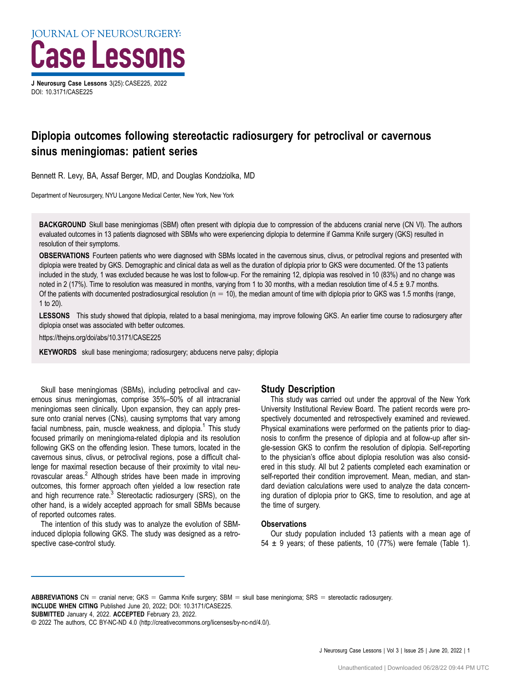**IOURNAL OF NEUROSURGERY:** Case Lessons

J Neurosurg Case Lessons 3(25): CASE225, 2022 DOI: [10.3171/CASE225](https://doi.org/10.3171/CASE225)

# Diplopia outcomes following stereotactic radiosurgery for petroclival or cavernous sinus meningiomas: patient series

Bennett R. Levy, BA, Assaf Berger, MD, and Douglas Kondziolka, MD

Department of Neurosurgery, NYU Langone Medical Center, New York, New York

BACKGROUND Skull base meningiomas (SBM) often present with diplopia due to compression of the abducens cranial nerve (CN VI). The authors evaluated outcomes in 13 patients diagnosed with SBMs who were experiencing diplopia to determine if Gamma Knife surgery (GKS) resulted in resolution of their symptoms.

OBSERVATIONS Fourteen patients who were diagnosed with SBMs located in the cavernous sinus, clivus, or petroclival regions and presented with diplopia were treated by GKS. Demographic and clinical data as well as the duration of diplopia prior to GKS were documented. Of the 13 patients included in the study, 1 was excluded because he was lost to follow-up. For the remaining 12, diplopia was resolved in 10 (83%) and no change was noted in 2 (17%). Time to resolution was measured in months, varying from 1 to 30 months, with a median resolution time of 4.5 ± 9.7 months. Of the patients with documented postradiosurgical resolution ( $n = 10$ ), the median amount of time with diplopia prior to GKS was 1.5 months (range, 1 to 20).

LESSONS This study showed that diplopia, related to a basal meningioma, may improve following GKS. An earlier time course to radiosurgery after diplopia onset was associated with better outcomes.

https://thejns.org/doi/abs/10.3171/CASE225

KEYWORDS skull base meningioma; radiosurgery; abducens nerve palsy; diplopia

Skull base meningiomas (SBMs), including petroclival and cavernous sinus meningiomas, comprise 35%–50% of all intracranial meningiomas seen clinically. Upon expansion, they can apply pressure onto cranial nerves (CNs), causing symptoms that vary among facial numbness, pain, muscle weakness, and diplopia.<sup>[1](#page-3-0)</sup> This study focused primarily on meningioma-related diplopia and its resolution following GKS on the offending lesion. These tumors, located in the cavernous sinus, clivus, or petroclival regions, pose a difficult challenge for maximal resection because of their proximity to vital neu-rovascular areas.<sup>[2](#page-3-0)</sup> Although strides have been made in improving outcomes, this former approach often yielded a low resection rate and high recurrence rate. $3$  Stereotactic radiosurgery (SRS), on the other hand, is a widely accepted approach for small SBMs because of reported outcomes rates.

The intention of this study was to analyze the evolution of SBMinduced diplopia following GKS. The study was designed as a retrospective case-control study.

## Study Description

This study was carried out under the approval of the New York University Institutional Review Board. The patient records were prospectively documented and retrospectively examined and reviewed. Physical examinations were performed on the patients prior to diagnosis to confirm the presence of diplopia and at follow-up after single-session GKS to confirm the resolution of diplopia. Self-reporting to the physician's office about diplopia resolution was also considered in this study. All but 2 patients completed each examination or self-reported their condition improvement. Mean, median, and standard deviation calculations were used to analyze the data concerning duration of diplopia prior to GKS, time to resolution, and age at the time of surgery.

#### **Observations**

Our study population included 13 patients with a mean age of 54  $\pm$  9 years; of these patients, 10 (77%) were female ([Table 1](#page-1-0)).

ABBREVIATIONS CN = cranial nerve; GKS = Gamma Knife surgery; SBM = skull base meningioma; SRS = stereotactic radiosurgery. INCLUDE WHEN CITING Published June 20, 2022; DOI: 10.3171/CASE225.

SUBMITTED January 4, 2022. ACCEPTED February 23, 2022.

<sup>©</sup> 2022 The authors, CC BY-NC-ND 4.0 (http://creativecommons.org/licenses/by-nc-nd/4.0/).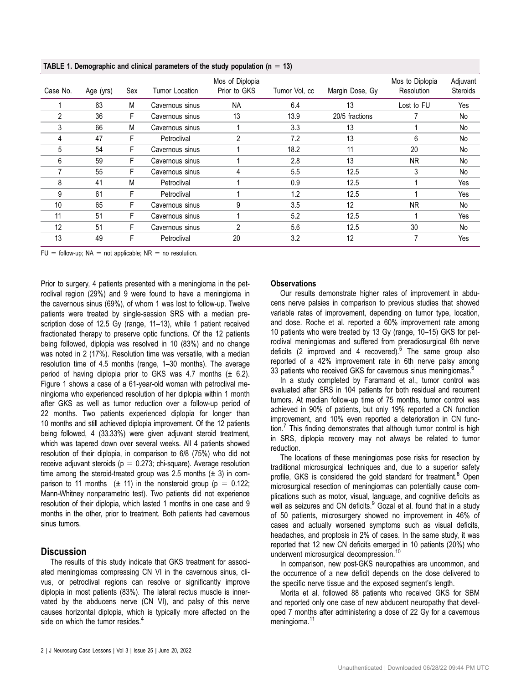<span id="page-1-0"></span>TABLE 1. Demographic and clinical parameters of the study population ( $n = 13$ )

| Case No. | Age (yrs) | Sex | Tumor Location  | Mos of Diplopia<br>Prior to GKS | Tumor Vol, cc | Margin Dose, Gy | Mos to Diplopia<br>Resolution | Adjuvant<br><b>Steroids</b> |
|----------|-----------|-----|-----------------|---------------------------------|---------------|-----------------|-------------------------------|-----------------------------|
|          | 63        | М   | Cavernous sinus | <b>NA</b>                       | 6.4           | 13              | Lost to FU                    | Yes                         |
| 2        | 36        | F   | Cavernous sinus | 13                              | 13.9          | 20/5 fractions  |                               | No                          |
| 3        | 66        | M   | Cavernous sinus |                                 | 3.3           | 13              |                               | No                          |
| 4        | 47        | F   | Petroclival     | $\overline{2}$                  | 7.2           | 13              | 6                             | No                          |
| 5        | 54        | F   | Cavernous sinus |                                 | 18.2          | 11              | 20                            | No                          |
| 6        | 59        | F   | Cavernous sinus |                                 | 2.8           | 13              | NR.                           | No                          |
|          | 55        | F   | Cavernous sinus | 4                               | 5.5           | 12.5            | 3                             | No                          |
| 8        | 41        | M   | Petroclival     |                                 | 0.9           | 12.5            |                               | Yes                         |
| 9        | 61        | F   | Petroclival     |                                 | 1.2           | 12.5            |                               | Yes                         |
| 10       | 65        | F   | Cavernous sinus | 9                               | 3.5           | 12              | NR.                           | No                          |
| 11       | 51        | F   | Cavernous sinus |                                 | 5.2           | 12.5            |                               | Yes                         |
| 12       | 51        | F   | Cavernous sinus | 2                               | 5.6           | 12.5            | 30                            | No                          |
| 13       | 49        | F   | Petroclival     | 20                              | 3.2           | 12              | 7                             | Yes                         |
|          |           |     |                 |                                 |               |                 |                               |                             |

 $FU =$  follow-up; NA = not applicable; NR = no resolution.

Prior to surgery, 4 patients presented with a meningioma in the petroclival region (29%) and 9 were found to have a meningioma in the cavernous sinus (69%), of whom 1 was lost to follow-up. Twelve patients were treated by single-session SRS with a median prescription dose of 12.5 Gy (range, 11–13), while 1 patient received fractionated therapy to preserve optic functions. Of the 12 patients being followed, diplopia was resolved in 10 (83%) and no change was noted in 2 (17%). Resolution time was versatile, with a median resolution time of 4.5 months (range, 1–30 months). The average period of having diplopia prior to GKS was 4.7 months  $(\pm 6.2)$ . [Figure 1](#page-2-0) shows a case of a 61-year-old woman with petroclival meningioma who experienced resolution of her diplopia within 1 month after GKS as well as tumor reduction over a follow-up period of 22 months. Two patients experienced diplopia for longer than 10 months and still achieved diplopia improvement. Of the 12 patients being followed, 4 (33.33%) were given adjuvant steroid treatment, which was tapered down over several weeks. All 4 patients showed resolution of their diplopia, in comparison to 6/8 (75%) who did not receive adjuvant steroids ( $p = 0.273$ ; chi-square). Average resolution time among the steroid-treated group was 2.5 months  $(\pm 3)$  in comparison to 11 months  $(\pm 11)$  in the nonsteroid group ( $p = 0.122$ ; Mann-Whitney nonparametric test). Two patients did not experience resolution of their diplopia, which lasted 1 months in one case and 9 months in the other, prior to treatment. Both patients had cavernous sinus tumors.

## **Discussion**

The results of this study indicate that GKS treatment for associated meningiomas compressing CN VI in the cavernous sinus, clivus, or petroclival regions can resolve or significantly improve diplopia in most patients (83%). The lateral rectus muscle is innervated by the abducens nerve (CN VI), and palsy of this nerve causes horizontal diplopia, which is typically more affected on the side on which the tumor resides.<sup>[4](#page-3-0)</sup>

#### **Observations**

Our results demonstrate higher rates of improvement in abducens nerve palsies in comparison to previous studies that showed variable rates of improvement, depending on tumor type, location, and dose. Roche et al. reported a 60% improvement rate among 10 patients who were treated by 13 Gy (range, 10–15) GKS for petroclival meningiomas and suffered from preradiosurgical 6th nerve deficits (2 improved and 4 recovered).<sup>[5](#page-3-0)</sup> The same group also reported of a 42% improvement rate in 6th nerve palsy among 33 patients who received GKS for cavernous sinus meningiomas.<sup>[6](#page-3-0)</sup>

In a study completed by Faramand et al., tumor control was evaluated after SRS in 104 patients for both residual and recurrent tumors. At median follow-up time of 75 months, tumor control was achieved in 90% of patients, but only 19% reported a CN function improvement, and 10% even reported a deterioration in CN func-tion.<sup>[7](#page-3-0)</sup> This finding demonstrates that although tumor control is high in SRS, diplopia recovery may not always be related to tumor reduction.

The locations of these meningiomas pose risks for resection by traditional microsurgical techniques and, due to a superior safety profile, GKS is considered the gold standard for treatment.<sup>[8](#page-3-0)</sup> Open microsurgical resection of meningiomas can potentially cause complications such as motor, visual, language, and cognitive deficits as well as seizures and CN deficits.<sup>[9](#page-3-0)</sup> Gozal et al. found that in a study of 50 patients, microsurgery showed no improvement in 46% of cases and actually worsened symptoms such as visual deficits, headaches, and proptosis in 2% of cases. In the same study, it was reported that 12 new CN deficits emerged in 10 patients (20%) who underwent microsurgical decompression.<sup>[10](#page-3-0)</sup>

In comparison, new post-GKS neuropathies are uncommon, and the occurrence of a new deficit depends on the dose delivered to the specific nerve tissue and the exposed segment's length.

Morita et al. followed 88 patients who received GKS for SBM and reported only one case of new abducent neuropathy that developed 7 months after administering a dose of 22 Gy for a cavernous meningioma.<sup>11</sup>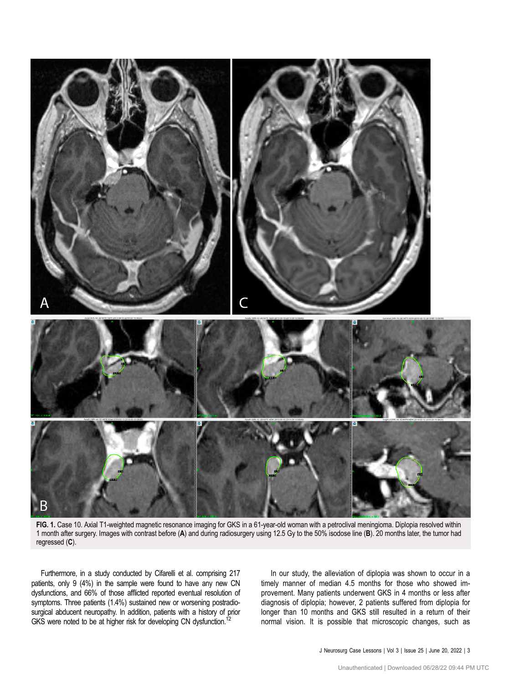<span id="page-2-0"></span>

FIG. 1. Case 10. Axial T1-weighted magnetic resonance imaging for GKS in a 61-year-old woman with a petroclival meningioma. Diplopia resolved within 1 month after surgery. Images with contrast before (A) and during radiosurgery using 12.5 Gy to the 50% isodose line (B). 20 months later, the tumor had regressed (C).

Furthermore, in a study conducted by Cifarelli et al. comprising 217 patients, only 9 (4%) in the sample were found to have any new CN dysfunctions, and 66% of those afflicted reported eventual resolution of symptoms. Three patients (1.4%) sustained new or worsening postradiosurgical abducent neuropathy. In addition, patients with a history of prior GKS were noted to be at higher risk for developing CN dysfunction.<sup>[12](#page-3-0)</sup>

In our study, the alleviation of diplopia was shown to occur in a timely manner of median 4.5 months for those who showed improvement. Many patients underwent GKS in 4 months or less after diagnosis of diplopia; however, 2 patients suffered from diplopia for longer than 10 months and GKS still resulted in a return of their normal vision. It is possible that microscopic changes, such as